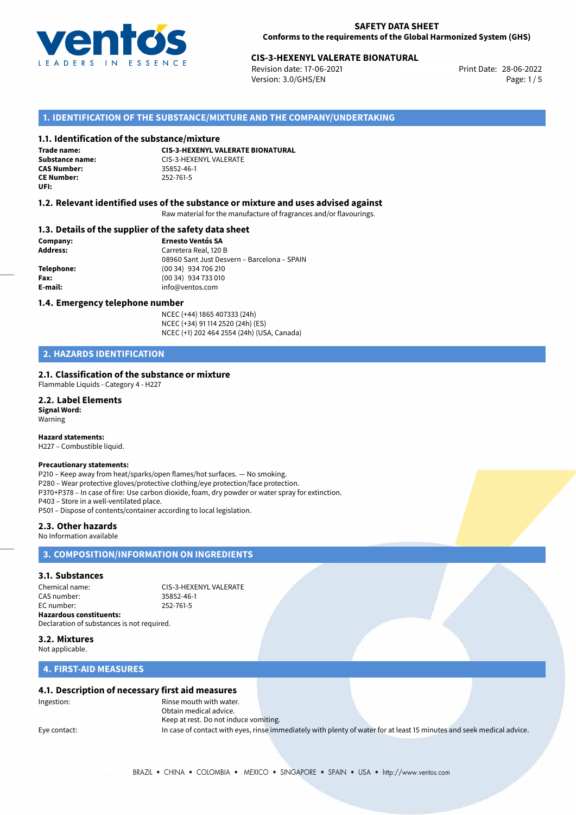

## 28-06-2022 **CIS-3-HEXENYL VALERATE BIONATURAL**

Revision date: 17-06-2021 Version: 3.0/GHS/EN Page: 1/5

### **1. IDENTIFICATION OF THE SUBSTANCE/MIXTURE AND THE COMPANY/UNDERTAKING**

### **1.1. Identification of the substance/mixture**

**Trade name: CAS Number: CE Number:** 252-761-5 **UFI:**

**CIS-3-HEXENYL VALERATE BIONATURAL Substance name:** CIS-3-HEXENYL VALERATE

### **1.2. Relevant identified uses of the substance or mixture and uses advised against**

Raw material for the manufacture of fragrances and/or flavourings.

### **1.3. Details of the supplier of the safety data sheet**

**Company: Ernesto Ventós SA Address:** Carretera Real, 120 B 08960 Sant Just Desvern – Barcelona – SPAIN **Telephone:** (00 34) 934 706 210 **Fax:** (00 34) 934 733 010 **E-mail:** info@ventos.com

### **1.4. Emergency telephone number**

NCEC (+44) 1865 407333 (24h) NCEC (+34) 91 114 2520 (24h) (ES) NCEC (+1) 202 464 2554 (24h) (USA, Canada)

## **2. HAZARDS IDENTIFICATION**

### **2.1. Classification of the substance or mixture**

Flammable Liquids - Category 4 - H227

#### **2.2. Label Elements Signal Word:**

Warning

### **Hazard statements:**

H227 – Combustible liquid.

### **Precautionary statements:**

P210 – Keep away from heat/sparks/open flames/hot surfaces. — No smoking. P280 – Wear protective gloves/protective clothing/eye protection/face protection. P370+P378 – In case of fire: Use carbon dioxide, foam, dry powder or water spray for extinction. P403 – Store in a well-ventilated place. P501 – Dispose of contents/container according to local legislation.

**2.3. Other hazards**

#### No Information available

## **3. COMPOSITION/INFORMATION ON INGREDIENTS**

## **3.1. Substances**

Chemical name: CIS-3-HEXENYL VALERATE CAS number: 35852-46-1 EC number: 252-761-5 **Hazardous constituents:** Declaration of substances is not required.

**3.2. Mixtures**

Not applicable.

### **4. FIRST-AID MEASURES**

### **4.1. Description of necessary first aid measures**

Ingestion: Rinse mouth with water. Obtain medical advice. Keep at rest. Do not induce vomiting. Eye contact: In case of contact with eyes, rinse immediately with plenty of water for at least 15 minutes and seek medical advice.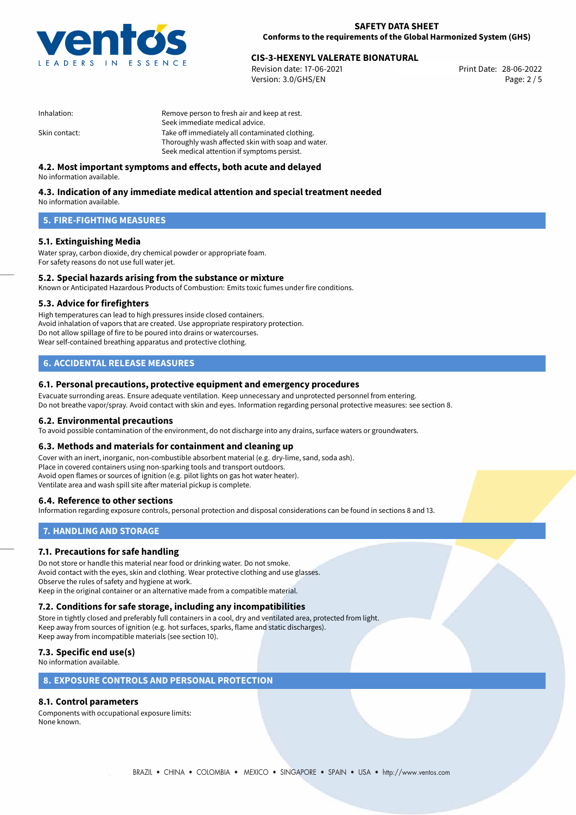

## 28-06-2022 **CIS-3-HEXENYL VALERATE BIONATURAL**

Revision date: 17-06-2021 Version: 3.0/GHS/EN Page: 2 / 5

| Inhalation:   | Remove person to fresh air and keep at rest.       |  |
|---------------|----------------------------------------------------|--|
|               | Seek immediate medical advice.                     |  |
| Skin contact: | Take off immediately all contaminated clothing.    |  |
|               | Thoroughly wash affected skin with soap and water. |  |
|               | Seek medical attention if symptoms persist.        |  |
|               |                                                    |  |

## **4.2. Most important symptoms and effects, both acute and delayed**

No information available.

## **4.3. Indication of any immediate medical attention and special treatment needed**

No information available.

## **5. FIRE-FIGHTING MEASURES**

### **5.1. Extinguishing Media**

Water spray, carbon dioxide, dry chemical powder or appropriate foam. For safety reasons do not use full water jet.

### **5.2. Special hazards arising from the substance or mixture**

Known or Anticipated Hazardous Products of Combustion: Emits toxic fumes under fire conditions.

### **5.3. Advice for firefighters**

High temperatures can lead to high pressures inside closed containers. Avoid inhalation of vapors that are created. Use appropriate respiratory protection. Do not allow spillage of fire to be poured into drains or watercourses. Wear self-contained breathing apparatus and protective clothing.

## **6. ACCIDENTAL RELEASE MEASURES**

### **6.1. Personal precautions, protective equipment and emergency procedures**

Evacuate surronding areas. Ensure adequate ventilation. Keep unnecessary and unprotected personnel from entering. Do not breathe vapor/spray. Avoid contact with skin and eyes. Information regarding personal protective measures: see section 8.

### **6.2. Environmental precautions**

To avoid possible contamination of the environment, do not discharge into any drains, surface waters or groundwaters.

### **6.3. Methods and materials for containment and cleaning up**

Cover with an inert, inorganic, non-combustible absorbent material (e.g. dry-lime, sand, soda ash). Place in covered containers using non-sparking tools and transport outdoors. Avoid open flames or sources of ignition (e.g. pilot lights on gas hot water heater). Ventilate area and wash spill site after material pickup is complete.

### **6.4. Reference to other sections**

Information regarding exposure controls, personal protection and disposal considerations can be found in sections 8 and 13.

## **7. HANDLING AND STORAGE**

### **7.1. Precautions for safe handling**

Do not store or handle this material near food or drinking water. Do not smoke. Avoid contact with the eyes, skin and clothing. Wear protective clothing and use glasses. Observe the rules of safety and hygiene at work. Keep in the original container or an alternative made from a compatible material.

## **7.2. Conditions for safe storage, including any incompatibilities**

Store in tightly closed and preferably full containers in a cool, dry and ventilated area, protected from light. Keep away from sources of ignition (e.g. hot surfaces, sparks, flame and static discharges). Keep away from incompatible materials (see section 10).

## **7.3. Specific end use(s)**

No information available.

### **8. EXPOSURE CONTROLS AND PERSONAL PROTECTION**

## **8.1. Control parameters**

Components with occupational exposure limits: None known.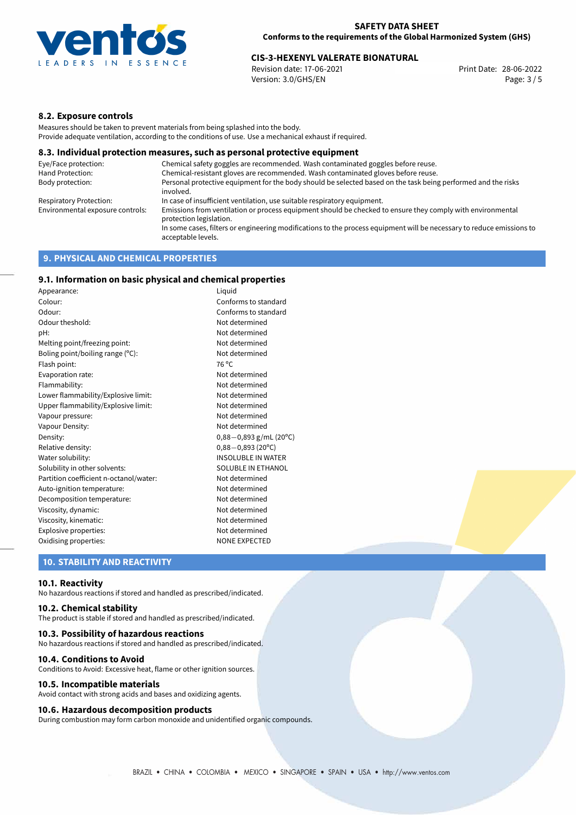

# 28-06-2022 **CIS-3-HEXENYL VALERATE BIONATURAL**

Revision date: 17-06-2021 Version: 3.0/GHS/EN Page: 3 / 5

## **8.2. Exposure controls**

Measures should be taken to prevent materials from being splashed into the body. Provide adequate ventilation, according to the conditions of use. Use a mechanical exhaust if required.

### **8.3. Individual protection measures, such as personal protective equipment**

| Eye/Face protection:             | Chemical safety goggles are recommended. Wash contaminated goggles before reuse.                                                            |  |
|----------------------------------|---------------------------------------------------------------------------------------------------------------------------------------------|--|
| Hand Protection:                 | Chemical-resistant gloves are recommended. Wash contaminated gloves before reuse.                                                           |  |
| Body protection:                 | Personal protective equipment for the body should be selected based on the task being performed and the risks<br>involved.                  |  |
| Respiratory Protection:          | In case of insufficient ventilation, use suitable respiratory equipment.                                                                    |  |
| Environmental exposure controls: | Emissions from ventilation or process equipment should be checked to ensure they comply with environmental<br>protection legislation.       |  |
|                                  | In some cases, filters or engineering modifications to the process equipment will be necessary to reduce emissions to<br>acceptable levels. |  |
|                                  |                                                                                                                                             |  |

## **9. PHYSICAL AND CHEMICAL PROPERTIES**

## **9.1. Information on basic physical and chemical properties**

| Appearance:                            | Liguid                    |  |
|----------------------------------------|---------------------------|--|
| Colour:                                | Conforms to standard      |  |
| Odour:                                 | Conforms to standard      |  |
| Odour theshold:                        | Not determined            |  |
| pH:                                    | Not determined            |  |
| Melting point/freezing point:          | Not determined            |  |
| Boling point/boiling range (°C):       | Not determined            |  |
| Flash point:                           | 76 °C                     |  |
| Evaporation rate:                      | Not determined            |  |
| Flammability:                          | Not determined            |  |
| Lower flammability/Explosive limit:    | Not determined            |  |
| Upper flammability/Explosive limit:    | Not determined            |  |
| Vapour pressure:                       | Not determined            |  |
| Vapour Density:                        | Not determined            |  |
| Density:                               | $0,88-0,893$ g/mL (20°C)  |  |
| Relative density:                      | $0,88 - 0,893$ (20°C)     |  |
| Water solubility:                      | <b>INSOLUBLE IN WATER</b> |  |
| Solubility in other solvents:          | SOLUBLE IN ETHANOL        |  |
| Partition coefficient n-octanol/water: | Not determined            |  |
| Auto-ignition temperature:             | Not determined            |  |
| Decomposition temperature:             | Not determined            |  |
| Viscosity, dynamic:                    | Not determined            |  |
| Viscosity, kinematic:                  | Not determined            |  |
| Explosive properties:                  | Not determined            |  |
| Oxidising properties:                  | <b>NONE EXPECTED</b>      |  |

### **10. STABILITY AND REACTIVITY**

### **10.1. Reactivity**

No hazardous reactions if stored and handled as prescribed/indicated.

### **10.2. Chemical stability**

The product is stable if stored and handled as prescribed/indicated.

### **10.3. Possibility of hazardous reactions**

No hazardous reactions if stored and handled as prescribed/indicated.

### **10.4. Conditions to Avoid**

Conditions to Avoid: Excessive heat, flame or other ignition sources.

### **10.5. Incompatible materials**

Avoid contact with strong acids and bases and oxidizing agents.

### **10.6. Hazardous decomposition products**

During combustion may form carbon monoxide and unidentified organic compounds.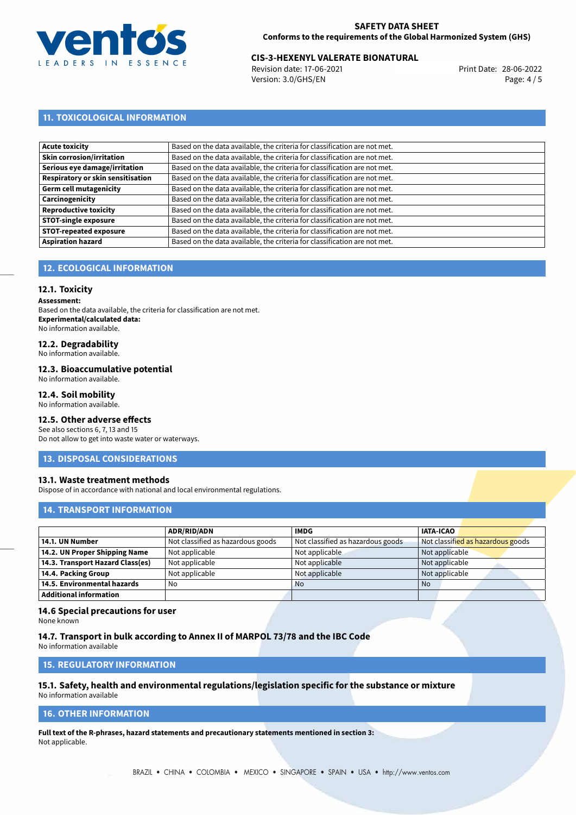

## 28-06-2022 **CIS-3-HEXENYL VALERATE BIONATURAL**

Revision date: 17-06-2021 Version: 3.0/GHS/EN Page: 4 / 5

## **11. TOXICOLOGICAL INFORMATION**

| Based on the data available, the criteria for classification are not met. |
|---------------------------------------------------------------------------|
| Based on the data available, the criteria for classification are not met. |
| Based on the data available, the criteria for classification are not met. |
| Based on the data available, the criteria for classification are not met. |
| Based on the data available, the criteria for classification are not met. |
| Based on the data available, the criteria for classification are not met. |
| Based on the data available, the criteria for classification are not met. |
| Based on the data available, the criteria for classification are not met. |
| Based on the data available, the criteria for classification are not met. |
| Based on the data available, the criteria for classification are not met. |
|                                                                           |

## **12. ECOLOGICAL INFORMATION**

## **12.1. Toxicity**

**Assessment:**

Based on the data available, the criteria for classification are not met. **Experimental/calculated data:** No information available.

## **12.2. Degradability**

No information available.

### **12.3. Bioaccumulative potential**

No information available.

## **12.4. Soil mobility**

No information available.

## **12.5. Other adverse effects**

See also sections 6, 7, 13 and 15 Do not allow to get into waste water or waterways.

### **13. DISPOSAL CONSIDERATIONS**

### **13.1. Waste treatment methods**

Dispose of in accordance with national and local environmental regulations.

### **14. TRANSPORT INFORMATION**

|                                  | <b>ADR/RID/ADN</b>                | <b>IMDG</b>                       | <b>IATA-ICAO</b>                  |
|----------------------------------|-----------------------------------|-----------------------------------|-----------------------------------|
| 14.1. UN Number                  | Not classified as hazardous goods | Not classified as hazardous goods | Not classified as hazardous goods |
| 14.2. UN Proper Shipping Name    | Not applicable                    | Not applicable                    | Not applicable                    |
| 14.3. Transport Hazard Class(es) | Not applicable                    | Not applicable                    | Not applicable                    |
| 14.4. Packing Group              | Not applicable                    | Not applicable                    | Not applicable                    |
| 14.5. Environmental hazards      | No                                | <b>No</b>                         | No                                |
| <b>Additional information</b>    |                                   |                                   |                                   |

### **14.6 Special precautions for user**

None known

### **14.7. Transport in bulk according to Annex II of MARPOL 73/78 and the IBC Code**

No information available

## **15. REGULATORY INFORMATION**

## **15.1. Safety, health and environmental regulations/legislation specific for the substance or mixture**

No information available

## **16. OTHER INFORMATION**

**Full text of the R-phrases, hazard statements and precautionary statements mentioned in section 3:** Not applicable.